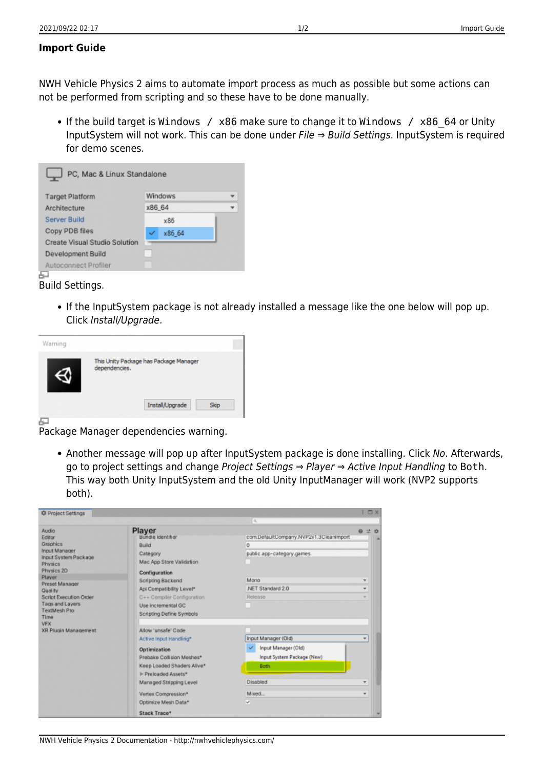## **Import Guide**

NWH Vehicle Physics 2 aims to automate import process as much as possible but some actions can not be performed from scripting and so these have to be done manually.

• If the build target is Windows / x86 make sure to change it to Windows / x86 64 or Unity InputSystem will not work. This can be done under File ⇒ Build Settings. InputSystem is required for demo scenes.

| <b>Target Platform</b>        | <b>Windows</b> |  |
|-------------------------------|----------------|--|
| Architecture                  | x86 64         |  |
| Server Build                  | x86            |  |
| Copy PDB files                | x86 64         |  |
| Create Visual Studio Solution |                |  |
| Development Build             |                |  |
| Autoconnect Profiler          |                |  |

Build Settings.

If the InputSystem package is not already installed a message like the one below will pop up. Click Install/Upgrade.

| Warning |                                                         |
|---------|---------------------------------------------------------|
|         | This Unity Package has Package Manager<br>dependencies. |
|         | Install/Upgrade                                         |

Package Manager dependencies warning.

• Another message will pop up after InputSystem package is done installing. Click No. Afterwards, go to project settings and change Project Settings ⇒ Player ⇒ Active Input Handling to Both. This way both Unity InputSystem and the old Unity InputManager will work (NVP2 supports both).

| <b>C</b> Project Settings                                                                                                                                                                                                                                                   |                                                                                                                                                                                                                                        |                                                                                                                         | IDX                       |  |
|-----------------------------------------------------------------------------------------------------------------------------------------------------------------------------------------------------------------------------------------------------------------------------|----------------------------------------------------------------------------------------------------------------------------------------------------------------------------------------------------------------------------------------|-------------------------------------------------------------------------------------------------------------------------|---------------------------|--|
|                                                                                                                                                                                                                                                                             |                                                                                                                                                                                                                                        | $\alpha$                                                                                                                |                           |  |
| Audio<br>Editor<br>Graphics<br>Input Manager<br>Input System Package<br><b>Physics</b><br>Physics 2D<br>Player<br>Preset Manager<br>Quality<br><b>Script Execution Order</b><br>Tags and Layers<br><b>TextMesh Pro</b><br>Time<br><b>VFX</b><br><b>XR Plugin Management</b> | Player<br>Bundle Identifier<br>Build<br>Category<br>Mac App Store Validation<br>Configuration<br>Scripting Backend<br>Api Compatibility Level*<br>C++ Compiler Configuration<br>Use incremental GC<br>Scripting Define Symbols         | com.DefaultCompany.NVP2v1.3CleanImport<br>$\alpha$<br>public.app-category.games<br>Mono<br>.NET Standard 2.0<br>Release | 9 之 ウ<br>Ŧ<br>٠<br>$\sim$ |  |
|                                                                                                                                                                                                                                                                             | Allow 'unsafe' Code<br>Active Input Handling*<br>Optimization<br>Prebake Collision Meshes*<br>Keep Loaded Shaders Alive*<br>Preloaded Assets*<br>Managed Stripping Level<br>Vertex Compression*<br>Optimize Mesh Data*<br>Stack Trace* | Input Manager (Old)<br>Input Manager (Old)<br>Input System Package (New)<br><b>Both</b><br>Disabled<br>Mixed<br>v       | ٠<br>¥<br>٠               |  |